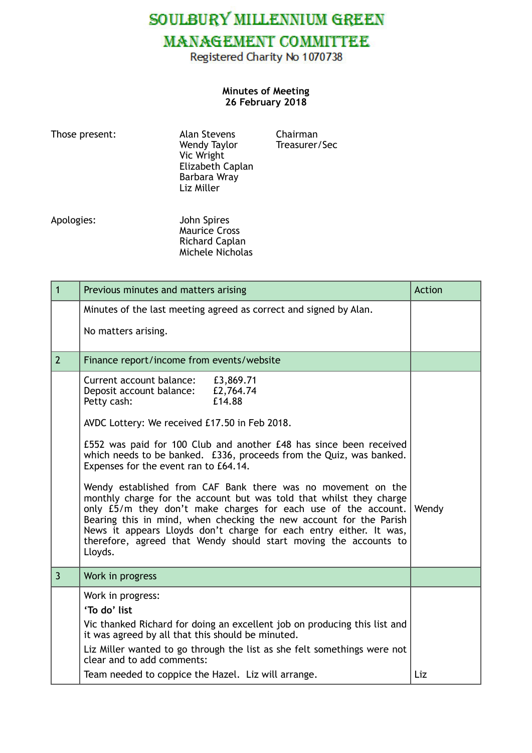SOULBURY MILLENNIUM GREEN

# **MANAGEMENT COMMITTEE**

Registered Charity No 1070738

#### **Minutes of Meeting 26 February 2018**

| Those present: | <b>Alan Stevens</b><br>Wendy Taylor<br>Vic Wright<br>Elizabeth Caplan<br>Barbara Wray<br>Liz Miller |
|----------------|-----------------------------------------------------------------------------------------------------|
|                |                                                                                                     |

Chairman Treasurer/Sec

Apologies: John Spires **Maurice Cross**  Richard Caplan Michele Nicholas

| $\mathbf{1}$   | Previous minutes and matters arising                                                                                                                                                                                                                                                                                                                                                                                             | <b>Action</b> |
|----------------|----------------------------------------------------------------------------------------------------------------------------------------------------------------------------------------------------------------------------------------------------------------------------------------------------------------------------------------------------------------------------------------------------------------------------------|---------------|
|                | Minutes of the last meeting agreed as correct and signed by Alan.                                                                                                                                                                                                                                                                                                                                                                |               |
|                | No matters arising.                                                                                                                                                                                                                                                                                                                                                                                                              |               |
| $\overline{2}$ | Finance report/income from events/website                                                                                                                                                                                                                                                                                                                                                                                        |               |
|                | Current account balance:<br>£3,869.71<br>£2,764.74<br>Deposit account balance:<br>£14.88<br>Petty cash:                                                                                                                                                                                                                                                                                                                          |               |
|                | AVDC Lottery: We received £17.50 in Feb 2018.                                                                                                                                                                                                                                                                                                                                                                                    |               |
|                | £552 was paid for 100 Club and another £48 has since been received<br>which needs to be banked. £336, proceeds from the Quiz, was banked.<br>Expenses for the event ran to £64.14.                                                                                                                                                                                                                                               |               |
|                | Wendy established from CAF Bank there was no movement on the<br>monthly charge for the account but was told that whilst they charge<br>only £5/m they don't make charges for each use of the account.<br>Bearing this in mind, when checking the new account for the Parish<br>News it appears Lloyds don't charge for each entry either. It was,<br>therefore, agreed that Wendy should start moving the accounts to<br>Lloyds. | Wendy         |
| $\overline{3}$ | Work in progress                                                                                                                                                                                                                                                                                                                                                                                                                 |               |
|                | Work in progress:                                                                                                                                                                                                                                                                                                                                                                                                                |               |
|                | 'To do' list                                                                                                                                                                                                                                                                                                                                                                                                                     |               |
|                | Vic thanked Richard for doing an excellent job on producing this list and<br>it was agreed by all that this should be minuted.                                                                                                                                                                                                                                                                                                   |               |
|                | Liz Miller wanted to go through the list as she felt somethings were not<br>clear and to add comments:                                                                                                                                                                                                                                                                                                                           |               |
|                | Team needed to coppice the Hazel. Liz will arrange.                                                                                                                                                                                                                                                                                                                                                                              | Liz           |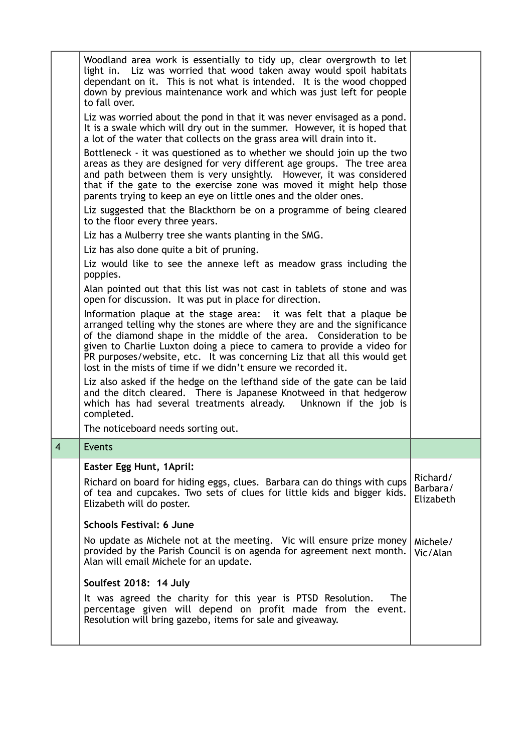|                | Woodland area work is essentially to tidy up, clear overgrowth to let<br>light in. Liz was worried that wood taken away would spoil habitats<br>dependant on it. This is not what is intended. It is the wood chopped<br>down by previous maintenance work and which was just left for people<br>to fall over.                                                                                                                             |                                   |
|----------------|--------------------------------------------------------------------------------------------------------------------------------------------------------------------------------------------------------------------------------------------------------------------------------------------------------------------------------------------------------------------------------------------------------------------------------------------|-----------------------------------|
|                | Liz was worried about the pond in that it was never envisaged as a pond.<br>It is a swale which will dry out in the summer. However, it is hoped that<br>a lot of the water that collects on the grass area will drain into it.                                                                                                                                                                                                            |                                   |
|                | Bottleneck - it was questioned as to whether we should join up the two<br>areas as they are designed for very different age groups. The tree area<br>and path between them is very unsightly. However, it was considered<br>that if the gate to the exercise zone was moved it might help those<br>parents trying to keep an eye on little ones and the older ones.                                                                        |                                   |
|                | Liz suggested that the Blackthorn be on a programme of being cleared<br>to the floor every three years.                                                                                                                                                                                                                                                                                                                                    |                                   |
|                | Liz has a Mulberry tree she wants planting in the SMG.                                                                                                                                                                                                                                                                                                                                                                                     |                                   |
|                | Liz has also done quite a bit of pruning.                                                                                                                                                                                                                                                                                                                                                                                                  |                                   |
|                | Liz would like to see the annexe left as meadow grass including the<br>poppies.                                                                                                                                                                                                                                                                                                                                                            |                                   |
|                | Alan pointed out that this list was not cast in tablets of stone and was<br>open for discussion. It was put in place for direction.                                                                                                                                                                                                                                                                                                        |                                   |
|                | Information plaque at the stage area: it was felt that a plaque be<br>arranged telling why the stones are where they are and the significance<br>of the diamond shape in the middle of the area. Consideration to be<br>given to Charlie Luxton doing a piece to camera to provide a video for<br>PR purposes/website, etc. It was concerning Liz that all this would get<br>lost in the mists of time if we didn't ensure we recorded it. |                                   |
|                | Liz also asked if the hedge on the lefthand side of the gate can be laid<br>and the ditch cleared. There is Japanese Knotweed in that hedgerow<br>which has had several treatments already. Unknown if the job is<br>completed.                                                                                                                                                                                                            |                                   |
|                | The noticeboard needs sorting out.                                                                                                                                                                                                                                                                                                                                                                                                         |                                   |
| $\overline{4}$ | Events                                                                                                                                                                                                                                                                                                                                                                                                                                     |                                   |
|                | Easter Egg Hunt, 1April:                                                                                                                                                                                                                                                                                                                                                                                                                   |                                   |
|                | Richard on board for hiding eggs, clues. Barbara can do things with cups<br>of tea and cupcakes. Two sets of clues for little kids and bigger kids.<br>Elizabeth will do poster.                                                                                                                                                                                                                                                           | Richard/<br>Barbara/<br>Elizabeth |
|                | <b>Schools Festival: 6 June</b>                                                                                                                                                                                                                                                                                                                                                                                                            |                                   |
|                | No update as Michele not at the meeting. Vic will ensure prize money<br>provided by the Parish Council is on agenda for agreement next month.<br>Alan will email Michele for an update.                                                                                                                                                                                                                                                    | Michele/<br>Vic/Alan              |
|                | Soulfest 2018: 14 July                                                                                                                                                                                                                                                                                                                                                                                                                     |                                   |
|                | It was agreed the charity for this year is PTSD Resolution.<br><b>The</b><br>percentage given will depend on profit made from the event.<br>Resolution will bring gazebo, items for sale and giveaway.                                                                                                                                                                                                                                     |                                   |
|                |                                                                                                                                                                                                                                                                                                                                                                                                                                            |                                   |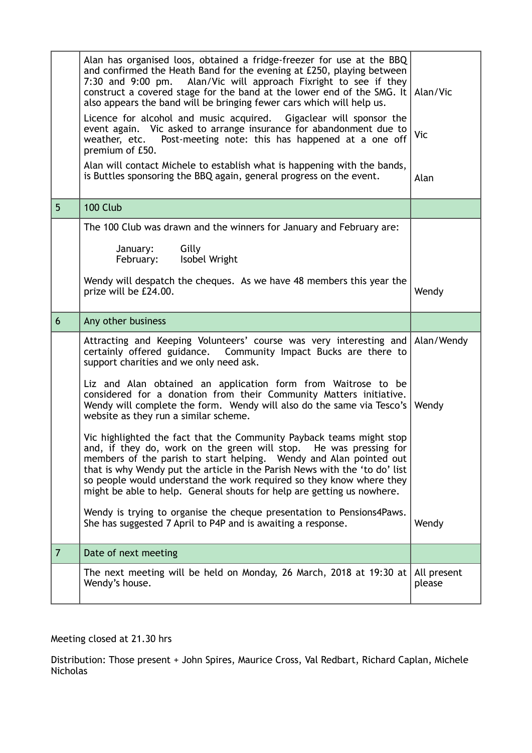|                | Alan has organised loos, obtained a fridge-freezer for use at the BBQ<br>and confirmed the Heath Band for the evening at £250, playing between<br>7:30 and 9:00 pm. Alan/Vic will approach Fixright to see if they<br>construct a covered stage for the band at the lower end of the SMG. It $\vert$ Alan/Vic<br>also appears the band will be bringing fewer cars which will help us.<br>Licence for alcohol and music acquired. Gigaclear will sponsor the<br>event again. Vic asked to arrange insurance for abandonment due to<br>weather, etc. Post-meeting note: this has happened at a one off<br>premium of £50.<br>Alan will contact Michele to establish what is happening with the bands,<br>is Buttles sponsoring the BBQ again, general progress on the event. | Vic<br>Alan           |
|----------------|-----------------------------------------------------------------------------------------------------------------------------------------------------------------------------------------------------------------------------------------------------------------------------------------------------------------------------------------------------------------------------------------------------------------------------------------------------------------------------------------------------------------------------------------------------------------------------------------------------------------------------------------------------------------------------------------------------------------------------------------------------------------------------|-----------------------|
| 5 <sup>5</sup> | 100 Club                                                                                                                                                                                                                                                                                                                                                                                                                                                                                                                                                                                                                                                                                                                                                                    |                       |
|                | The 100 Club was drawn and the winners for January and February are:                                                                                                                                                                                                                                                                                                                                                                                                                                                                                                                                                                                                                                                                                                        |                       |
|                | Gilly<br>January:<br>Isobel Wright<br>February:                                                                                                                                                                                                                                                                                                                                                                                                                                                                                                                                                                                                                                                                                                                             |                       |
|                | Wendy will despatch the cheques. As we have 48 members this year the<br>prize will be £24.00.                                                                                                                                                                                                                                                                                                                                                                                                                                                                                                                                                                                                                                                                               | Wendy                 |
| 6              | Any other business                                                                                                                                                                                                                                                                                                                                                                                                                                                                                                                                                                                                                                                                                                                                                          |                       |
|                | Attracting and Keeping Volunteers' course was very interesting and Alan/Wendy<br>certainly offered guidance.  Community Impact Bucks are there to<br>support charities and we only need ask.                                                                                                                                                                                                                                                                                                                                                                                                                                                                                                                                                                                |                       |
|                | Liz and Alan obtained an application form from Waitrose to be<br>considered for a donation from their Community Matters initiative.<br>Wendy will complete the form. Wendy will also do the same via Tesco's   Wendy<br>website as they run a similar scheme.                                                                                                                                                                                                                                                                                                                                                                                                                                                                                                               |                       |
|                | Vic highlighted the fact that the Community Payback teams might stop<br>and, if they do, work on the green will stop. He was pressing for<br>members of the parish to start helping. Wendy and Alan pointed out<br>that is why Wendy put the article in the Parish News with the 'to do' list<br>so people would understand the work required so they know where they<br>might be able to help. General shouts for help are getting us nowhere.                                                                                                                                                                                                                                                                                                                             |                       |
|                | Wendy is trying to organise the cheque presentation to Pensions4Paws.<br>She has suggested 7 April to P4P and is awaiting a response.                                                                                                                                                                                                                                                                                                                                                                                                                                                                                                                                                                                                                                       | Wendy                 |
| $\overline{7}$ | Date of next meeting                                                                                                                                                                                                                                                                                                                                                                                                                                                                                                                                                                                                                                                                                                                                                        |                       |
|                | The next meeting will be held on Monday, 26 March, 2018 at 19:30 at $ $<br>Wendy's house.                                                                                                                                                                                                                                                                                                                                                                                                                                                                                                                                                                                                                                                                                   | All present<br>please |
|                |                                                                                                                                                                                                                                                                                                                                                                                                                                                                                                                                                                                                                                                                                                                                                                             |                       |

Meeting closed at 21.30 hrs

Distribution: Those present + John Spires, Maurice Cross, Val Redbart, Richard Caplan, Michele Nicholas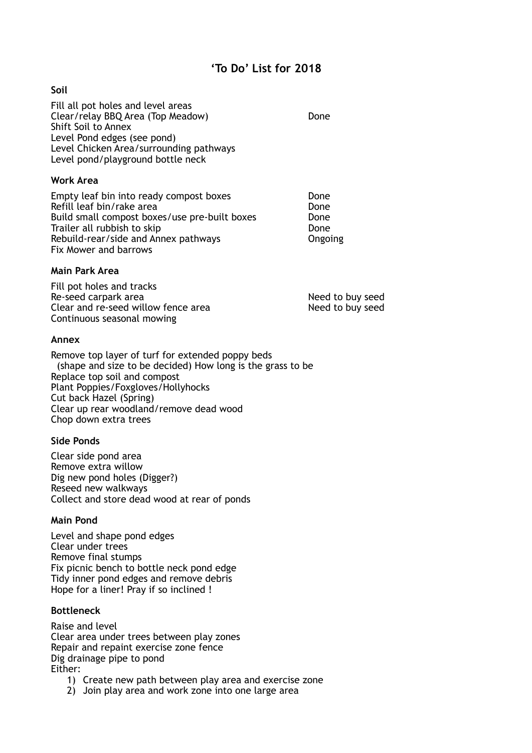# **'To Do' List for 2018**

# **Soil**

Fill all pot holes and level areas Clear/relay BBQ Area (Top Meadow) Done Shift Soil to Annex Level Pond edges (see pond) Level Chicken Area/surrounding pathways Level pond/playground bottle neck

#### **Work Area**

Empty leaf bin into ready compost boxes **Done** Refill leaf bin/rake area **Done**<br>Build small compost boxes/use pre-built boxes **Done** Build small compost boxes/use pre-built boxes Trailer all rubbish to skip Done Rebuild-rear/side and Annex pathways **Constant Congoing** Fix Mower and barrows

#### **Main Park Area**

Fill pot holes and tracks Re-seed carpark area Need to buy seed Clear and re-seed willow fence area Need to buy seed Continuous seasonal mowing

#### **Annex**

Remove top layer of turf for extended poppy beds (shape and size to be decided) How long is the grass to be Replace top soil and compost Plant Poppies/Foxgloves/Hollyhocks Cut back Hazel (Spring) Clear up rear woodland/remove dead wood Chop down extra trees

#### **Side Ponds**

Clear side pond area Remove extra willow Dig new pond holes (Digger?) Reseed new walkways Collect and store dead wood at rear of ponds

#### **Main Pond**

Level and shape pond edges Clear under trees Remove final stumps Fix picnic bench to bottle neck pond edge Tidy inner pond edges and remove debris Hope for a liner! Pray if so inclined !

# **Bottleneck**

Raise and level Clear area under trees between play zones Repair and repaint exercise zone fence Dig drainage pipe to pond Either:

- 1) Create new path between play area and exercise zone
- 2) Join play area and work zone into one large area